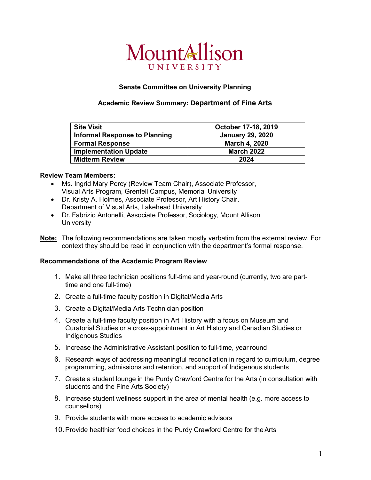# MountAllison UNIVERSITY

## **Senate Committee on University Planning**

### **Academic Review Summary: Department of Fine Arts**

| <b>Site Visit</b>                    | October 17-18, 2019     |
|--------------------------------------|-------------------------|
| <b>Informal Response to Planning</b> | <b>January 29, 2020</b> |
| <b>Formal Response</b>               | <b>March 4, 2020</b>    |
| <b>Implementation Update</b>         | <b>March 2022</b>       |
| <b>Midterm Review</b>                | 2024                    |

#### **Review Team Members:**

- Ms. Ingrid Mary Percy (Review Team Chair), Associate Professor, Visual Arts Program, Grenfell Campus, Memorial University
- Dr. Kristy A. Holmes, Associate Professor, Art History Chair, Department of Visual Arts, Lakehead University
- Dr. Fabrizio Antonelli, Associate Professor, Sociology, Mount Allison **University**
- **Note:** The following recommendations are taken mostly verbatim from the external review. For context they should be read in conjunction with the department's formal response.

#### **Recommendations of the Academic Program Review**

- 1. Make all three technician positions full-time and year-round (currently, two are parttime and one full-time)
- 2. Create a full-time faculty position in Digital/Media Arts
- 3. Create a Digital/Media Arts Technician position
- 4. Create a full-time faculty position in Art History with a focus on Museum and Curatorial Studies or a cross-appointment in Art History and Canadian Studies or Indigenous Studies
- 5. Increase the Administrative Assistant position to full-time, year round
- 6. Research ways of addressing meaningful reconciliation in regard to curriculum, degree programming, admissions and retention, and support of Indigenous students
- 7. Create a student lounge in the Purdy Crawford Centre for the Arts (in consultation with students and the Fine Arts Society)
- 8. Increase student wellness support in the area of mental health (e.g. more access to counsellors)
- 9. Provide students with more access to academic advisors
- 10.Provide healthier food choices in the Purdy Crawford Centre for theArts